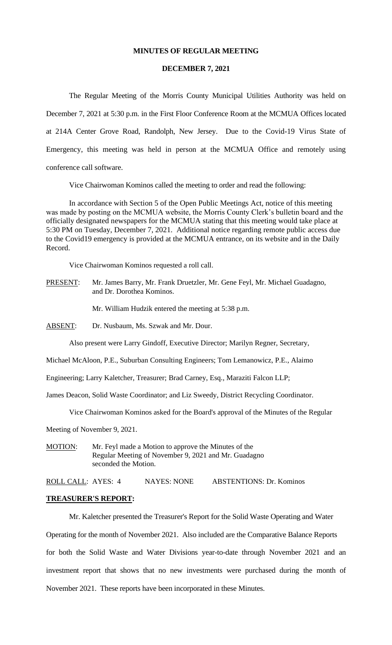#### **MINUTES OF REGULAR MEETING**

#### **DECEMBER 7, 2021**

The Regular Meeting of the Morris County Municipal Utilities Authority was held on December 7, 2021 at 5:30 p.m. in the First Floor Conference Room at the MCMUA Offices located at 214A Center Grove Road, Randolph, New Jersey. Due to the Covid-19 Virus State of Emergency, this meeting was held in person at the MCMUA Office and remotely using conference call software.

Vice Chairwoman Kominos called the meeting to order and read the following:

In accordance with Section 5 of the Open Public Meetings Act, notice of this meeting was made by posting on the MCMUA website, the Morris County Clerk's bulletin board and the officially designated newspapers for the MCMUA stating that this meeting would take place at 5:30 PM on Tuesday, December 7, 2021. Additional notice regarding remote public access due to the Covid19 emergency is provided at the MCMUA entrance, on its website and in the Daily Record.

Vice Chairwoman Kominos requested a roll call.

PRESENT: Mr. James Barry, Mr. Frank Druetzler, Mr. Gene Feyl, Mr. Michael Guadagno, and Dr. Dorothea Kominos.

Mr. William Hudzik entered the meeting at 5:38 p.m.

ABSENT: Dr. Nusbaum, Ms. Szwak and Mr. Dour.

Also present were Larry Gindoff, Executive Director; Marilyn Regner, Secretary,

Michael McAloon, P.E., Suburban Consulting Engineers; Tom Lemanowicz, P.E., Alaimo

Engineering; Larry Kaletcher, Treasurer; Brad Carney, Esq., Maraziti Falcon LLP;

James Deacon, Solid Waste Coordinator; and Liz Sweedy, District Recycling Coordinator.

Vice Chairwoman Kominos asked for the Board's approval of the Minutes of the Regular

Meeting of November 9, 2021.

MOTION: Mr. Feyl made a Motion to approve the Minutes of the Regular Meeting of November 9, 2021 and Mr. Guadagno seconded the Motion.

ROLL CALL: AYES: 4 NAYES: NONE ABSTENTIONS: Dr. Kominos

#### **TREASURER'S REPORT:**

Mr. Kaletcher presented the Treasurer's Report for the Solid Waste Operating and Water

Operating for the month of November 2021. Also included are the Comparative Balance Reports for both the Solid Waste and Water Divisions year-to-date through November 2021 and an investment report that shows that no new investments were purchased during the month of November 2021. These reports have been incorporated in these Minutes.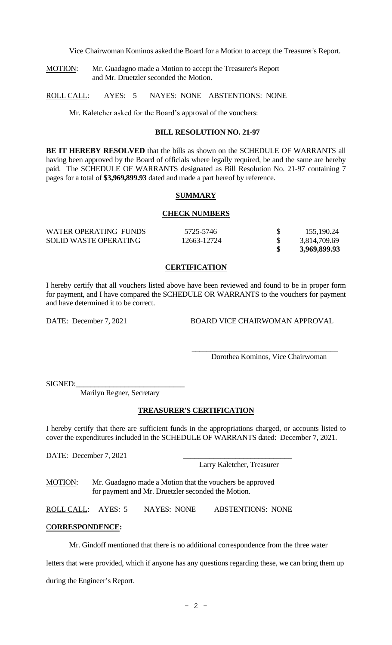Vice Chairwoman Kominos asked the Board for a Motion to accept the Treasurer's Report.

MOTION: Mr. Guadagno made a Motion to accept the Treasurer's Report and Mr. Druetzler seconded the Motion.

ROLL CALL: AYES: 5 NAYES: NONE ABSTENTIONS: NONE

Mr. Kaletcher asked for the Board's approval of the vouchers:

### **BILL RESOLUTION NO. 21-97**

**BE IT HEREBY RESOLVED** that the bills as shown on the SCHEDULE OF WARRANTS all having been approved by the Board of officials where legally required, be and the same are hereby paid. The SCHEDULE OF WARRANTS designated as Bill Resolution No. 21-97 containing 7 pages for a total of **\$3,969,899.93** dated and made a part hereof by reference.

#### **SUMMARY**

#### **CHECK NUMBERS**

| WATER OPERATING FUNDS        | 5725-5746   | 155,190.24   |
|------------------------------|-------------|--------------|
| <b>SOLID WASTE OPERATING</b> | 12663-12724 | 3,814,709.69 |
|                              |             | 3,969,899.93 |

#### **CERTIFICATION**

I hereby certify that all vouchers listed above have been reviewed and found to be in proper form for payment, and I have compared the SCHEDULE OR WARRANTS to the vouchers for payment and have determined it to be correct.

DATE: December 7, 2021 BOARD VICE CHAIRWOMAN APPROVAL

 $\overline{\phantom{a}}$  ,  $\overline{\phantom{a}}$  ,  $\overline{\phantom{a}}$  ,  $\overline{\phantom{a}}$  ,  $\overline{\phantom{a}}$  ,  $\overline{\phantom{a}}$  ,  $\overline{\phantom{a}}$  ,  $\overline{\phantom{a}}$  ,  $\overline{\phantom{a}}$  ,  $\overline{\phantom{a}}$  ,  $\overline{\phantom{a}}$  ,  $\overline{\phantom{a}}$  ,  $\overline{\phantom{a}}$  ,  $\overline{\phantom{a}}$  ,  $\overline{\phantom{a}}$  ,  $\overline{\phantom{a}}$ 

Dorothea Kominos, Vice Chairwoman

SIGNED:

Marilyn Regner, Secretary

#### **TREASURER'S CERTIFICATION**

I hereby certify that there are sufficient funds in the appropriations charged, or accounts listed to cover the expenditures included in the SCHEDULE OF WARRANTS dated: December 7, 2021.

DATE: December 7, 2021

Larry Kaletcher, Treasurer

MOTION: Mr. Guadagno made a Motion that the vouchers be approved for payment and Mr. Druetzler seconded the Motion.

ROLL CALL: AYES: 5 NAYES: NONE ABSTENTIONS: NONE

### C**ORRESPONDENCE:**

Mr. Gindoff mentioned that there is no additional correspondence from the three water

letters that were provided, which if anyone has any questions regarding these, we can bring them up

during the Engineer's Report.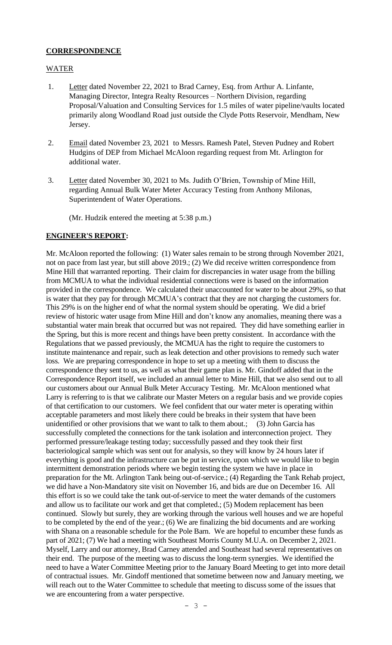# **CORRESPONDENCE**

# WATER

- 1. Letter dated November 22, 2021 to Brad Carney, Esq. from Arthur A. Linfante, Managing Director, Integra Realty Resources – Northern Division, regarding Proposal/Valuation and Consulting Services for 1.5 miles of water pipeline/vaults located primarily along Woodland Road just outside the Clyde Potts Reservoir, Mendham, New Jersey.
- 2. Email dated November 23, 2021 to Messrs. Ramesh Patel, Steven Pudney and Robert Hudgins of DEP from Michael McAloon regarding request from Mt. Arlington for additional water.
- 3. Letter dated November 30, 2021 to Ms. Judith O'Brien, Township of Mine Hill, regarding Annual Bulk Water Meter Accuracy Testing from Anthony Milonas, Superintendent of Water Operations.

(Mr. Hudzik entered the meeting at 5:38 p.m.)

# **ENGINEER'S REPORT:**

Mr. McAloon reported the following: (1) Water sales remain to be strong through November 2021, not on pace from last year, but still above 2019.; (2) We did receive written correspondence from Mine Hill that warranted reporting. Their claim for discrepancies in water usage from the billing from MCMUA to what the individual residential connections were is based on the information provided in the correspondence. We calculated their unaccounted for water to be about 29%, so that is water that they pay for through MCMUA's contract that they are not charging the customers for. This 29% is on the higher end of what the normal system should be operating. We did a brief review of historic water usage from Mine Hill and don't know any anomalies, meaning there was a substantial water main break that occurred but was not repaired. They did have something earlier in the Spring, but this is more recent and things have been pretty consistent. In accordance with the Regulations that we passed previously, the MCMUA has the right to require the customers to institute maintenance and repair, such as leak detection and other provisions to remedy such water loss. We are preparing correspondence in hope to set up a meeting with them to discuss the correspondence they sent to us, as well as what their game plan is. Mr. Gindoff added that in the Correspondence Report itself, we included an annual letter to Mine Hill, that we also send out to all our customers about our Annual Bulk Meter Accuracy Testing. Mr. McAloon mentioned what Larry is referring to is that we calibrate our Master Meters on a regular basis and we provide copies of that certification to our customers. We feel confident that our water meter is operating within acceptable parameters and most likely there could be breaks in their system that have been unidentified or other provisions that we want to talk to them about.; (3) John Garcia has successfully completed the connections for the tank isolation and interconnection project. They performed pressure/leakage testing today; successfully passed and they took their first bacteriological sample which was sent out for analysis, so they will know by 24 hours later if everything is good and the infrastructure can be put in service, upon which we would like to begin intermittent demonstration periods where we begin testing the system we have in place in preparation for the Mt. Arlington Tank being out-of-service.; (4) Regarding the Tank Rehab project, we did have a Non-Mandatory site visit on November 16, and bids are due on December 16. All this effort is so we could take the tank out-of-service to meet the water demands of the customers and allow us to facilitate our work and get that completed.; (5) Modem replacement has been continued. Slowly but surely, they are working through the various well houses and we are hopeful to be completed by the end of the year.; (6) We are finalizing the bid documents and are working with Shana on a reasonable schedule for the Pole Barn. We are hopeful to encumber these funds as part of 2021; (7) We had a meeting with Southeast Morris County M.U.A. on December 2, 2021. Myself, Larry and our attorney, Brad Carney attended and Southeast had several representatives on their end. The purpose of the meeting was to discuss the long-term synergies. We identified the need to have a Water Committee Meeting prior to the January Board Meeting to get into more detail of contractual issues. Mr. Gindoff mentioned that sometime between now and January meeting, we will reach out to the Water Committee to schedule that meeting to discuss some of the issues that we are encountering from a water perspective.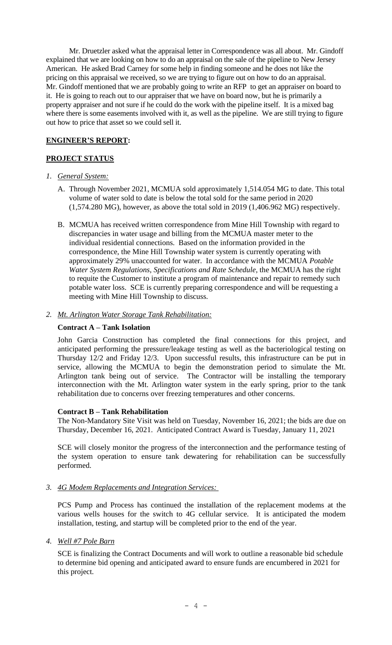Mr. Druetzler asked what the appraisal letter in Correspondence was all about. Mr. Gindoff explained that we are looking on how to do an appraisal on the sale of the pipeline to New Jersey American. He asked Brad Carney for some help in finding someone and he does not like the pricing on this appraisal we received, so we are trying to figure out on how to do an appraisal. Mr. Gindoff mentioned that we are probably going to write an RFP to get an appraiser on board to it. He is going to reach out to our appraiser that we have on board now, but he is primarily a property appraiser and not sure if he could do the work with the pipeline itself. It is a mixed bag where there is some easements involved with it, as well as the pipeline. We are still trying to figure out how to price that asset so we could sell it.

# **ENGINEER'S REPORT:**

# **PROJECT STATUS**

### *1. General System:*

- A. Through November 2021, MCMUA sold approximately 1,514.054 MG to date. This total volume of water sold to date is below the total sold for the same period in 2020 (1,574.280 MG), however, as above the total sold in 2019 (1,406.962 MG) respectively.
- B. MCMUA has received written correspondence from Mine Hill Township with regard to discrepancies in water usage and billing from the MCMUA master meter to the individual residential connections. Based on the information provided in the correspondence, the Mine Hill Township water system is currently operating with approximately 29% unaccounted for water. In accordance with the MCMUA *Potable Water System Regulations, Specifications and Rate Schedule*, the MCMUA has the right to requite the Customer to institute a program of maintenance and repair to remedy such potable water loss. SCE is currently preparing correspondence and will be requesting a meeting with Mine Hill Township to discuss.

# *2. Mt. Arlington Water Storage Tank Rehabilitation:*

# **Contract A – Tank Isolation**

John Garcia Construction has completed the final connections for this project, and anticipated performing the pressure/leakage testing as well as the bacteriological testing on Thursday 12/2 and Friday 12/3. Upon successful results, this infrastructure can be put in service, allowing the MCMUA to begin the demonstration period to simulate the Mt. Arlington tank being out of service. The Contractor will be installing the temporary interconnection with the Mt. Arlington water system in the early spring, prior to the tank rehabilitation due to concerns over freezing temperatures and other concerns.

### **Contract B – Tank Rehabilitation**

The Non-Mandatory Site Visit was held on Tuesday, November 16, 2021; the bids are due on Thursday, December 16, 2021. Anticipated Contract Award is Tuesday, January 11, 2021

SCE will closely monitor the progress of the interconnection and the performance testing of the system operation to ensure tank dewatering for rehabilitation can be successfully performed.

### *3. 4G Modem Replacements and Integration Services:*

PCS Pump and Process has continued the installation of the replacement modems at the various wells houses for the switch to 4G cellular service. It is anticipated the modem installation, testing, and startup will be completed prior to the end of the year.

### *4. Well #7 Pole Barn*

SCE is finalizing the Contract Documents and will work to outline a reasonable bid schedule to determine bid opening and anticipated award to ensure funds are encumbered in 2021 for this project.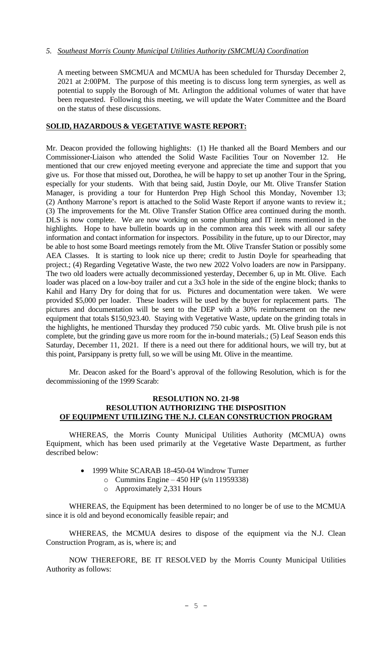# *5. Southeast Morris County Municipal Utilities Authority (SMCMUA) Coordination*

A meeting between SMCMUA and MCMUA has been scheduled for Thursday December 2, 2021 at 2:00PM. The purpose of this meeting is to discuss long term synergies, as well as potential to supply the Borough of Mt. Arlington the additional volumes of water that have been requested. Following this meeting, we will update the Water Committee and the Board on the status of these discussions.

# **SOLID, HAZARDOUS & VEGETATIVE WASTE REPORT:**

Mr. Deacon provided the following highlights: (1) He thanked all the Board Members and our Commissioner-Liaison who attended the Solid Waste Facilities Tour on November 12. He mentioned that our crew enjoyed meeting everyone and appreciate the time and support that you give us. For those that missed out, Dorothea, he will be happy to set up another Tour in the Spring, especially for your students. With that being said, Justin Doyle, our Mt. Olive Transfer Station Manager, is providing a tour for Hunterdon Prep High School this Monday, November 13; (2) Anthony Marrone's report is attached to the Solid Waste Report if anyone wants to review it.; (3) The improvements for the Mt. Olive Transfer Station Office area continued during the month. DLS is now complete. We are now working on some plumbing and IT items mentioned in the highlights. Hope to have bulletin boards up in the common area this week with all our safety information and contact information for inspectors. Possibility in the future, up to our Director, may be able to host some Board meetings remotely from the Mt. Olive Transfer Station or possibly some AEA Classes. It is starting to look nice up there; credit to Justin Doyle for spearheading that project.; (4) Regarding Vegetative Waste, the two new 2022 Volvo loaders are now in Parsippany. The two old loaders were actually decommissioned yesterday, December 6, up in Mt. Olive. Each loader was placed on a low-boy trailer and cut a 3x3 hole in the side of the engine block; thanks to Kahil and Harry Dry for doing that for us. Pictures and documentation were taken. We were provided \$5,000 per loader. These loaders will be used by the buyer for replacement parts. The pictures and documentation will be sent to the DEP with a 30% reimbursement on the new equipment that totals \$150,923.40. Staying with Vegetative Waste, update on the grinding totals in the highlights, he mentioned Thursday they produced 750 cubic yards. Mt. Olive brush pile is not complete, but the grinding gave us more room for the in-bound materials.; (5) Leaf Season ends this Saturday, December 11, 2021. If there is a need out there for additional hours, we will try, but at this point, Parsippany is pretty full, so we will be using Mt. Olive in the meantime.

Mr. Deacon asked for the Board's approval of the following Resolution, which is for the decommissioning of the 1999 Scarab:

#### **RESOLUTION NO. 21-98 RESOLUTION AUTHORIZING THE DISPOSITION OF EQUIPMENT UTILIZING THE N.J. CLEAN CONSTRUCTION PROGRAM**

WHEREAS, the Morris County Municipal Utilities Authority (MCMUA) owns Equipment, which has been used primarily at the Vegetative Waste Department, as further described below:

- 1999 White SCARAB 18-450-04 Windrow Turner
	- o Cummins Engine 450 HP (s/n 11959338)
		- o Approximately 2,331 Hours

WHEREAS, the Equipment has been determined to no longer be of use to the MCMUA since it is old and beyond economically feasible repair; and

WHEREAS, the MCMUA desires to dispose of the equipment via the N.J. Clean Construction Program, as is, where is; and

NOW THEREFORE, BE IT RESOLVED by the Morris County Municipal Utilities Authority as follows: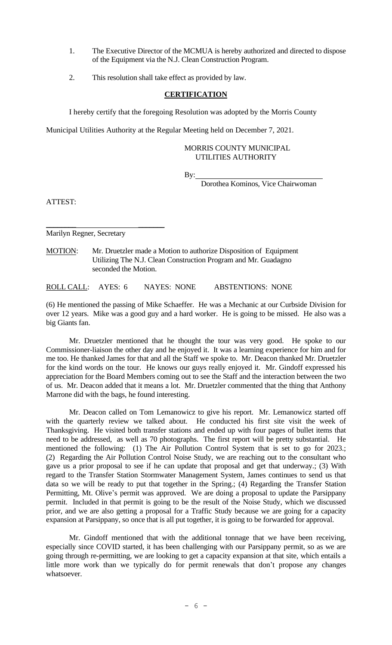- 1. The Executive Director of the MCMUA is hereby authorized and directed to dispose of the Equipment via the N.J. Clean Construction Program.
- 2. This resolution shall take effect as provided by law.

# **CERTIFICATION**

I hereby certify that the foregoing Resolution was adopted by the Morris County

Municipal Utilities Authority at the Regular Meeting held on December 7, 2021.

#### MORRIS COUNTY MUNICIPAL UTILITIES AUTHORITY

By:

Dorothea Kominos, Vice Chairwoman

ATTEST:

Marilyn Regner, Secretary

\_\_\_\_\_\_\_\_ \_\_\_\_\_\_\_

MOTION: Mr. Druetzler made a Motion to authorize Disposition of Equipment Utilizing The N.J. Clean Construction Program and Mr. Guadagno seconded the Motion.

ROLL CALL: AYES: 6 NAYES: NONE ABSTENTIONS: NONE

(6) He mentioned the passing of Mike Schaeffer. He was a Mechanic at our Curbside Division for over 12 years. Mike was a good guy and a hard worker. He is going to be missed. He also was a big Giants fan.

Mr. Druetzler mentioned that he thought the tour was very good. He spoke to our Commissioner-liaison the other day and he enjoyed it. It was a learning experience for him and for me too. He thanked James for that and all the Staff we spoke to. Mr. Deacon thanked Mr. Druetzler for the kind words on the tour. He knows our guys really enjoyed it. Mr. Gindoff expressed his appreciation for the Board Members coming out to see the Staff and the interaction between the two of us. Mr. Deacon added that it means a lot. Mr. Druetzler commented that the thing that Anthony Marrone did with the bags, he found interesting.

Mr. Deacon called on Tom Lemanowicz to give his report. Mr. Lemanowicz started off with the quarterly review we talked about. He conducted his first site visit the week of Thanksgiving. He visited both transfer stations and ended up with four pages of bullet items that need to be addressed, as well as 70 photographs. The first report will be pretty substantial. He mentioned the following: (1) The Air Pollution Control System that is set to go for 2023.; (2) Regarding the Air Pollution Control Noise Study, we are reaching out to the consultant who gave us a prior proposal to see if he can update that proposal and get that underway.; (3) With regard to the Transfer Station Stormwater Management System, James continues to send us that data so we will be ready to put that together in the Spring.; (4) Regarding the Transfer Station Permitting, Mt. Olive's permit was approved. We are doing a proposal to update the Parsippany permit. Included in that permit is going to be the result of the Noise Study, which we discussed prior, and we are also getting a proposal for a Traffic Study because we are going for a capacity expansion at Parsippany, so once that is all put together, it is going to be forwarded for approval.

Mr. Gindoff mentioned that with the additional tonnage that we have been receiving, especially since COVID started, it has been challenging with our Parsippany permit, so as we are going through re-permitting, we are looking to get a capacity expansion at that site, which entails a little more work than we typically do for permit renewals that don't propose any changes whatsoever.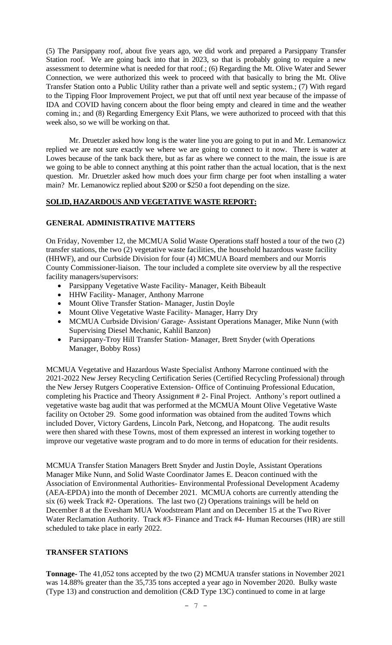(5) The Parsippany roof, about five years ago, we did work and prepared a Parsippany Transfer Station roof. We are going back into that in 2023, so that is probably going to require a new assessment to determine what is needed for that roof.; (6) Regarding the Mt. Olive Water and Sewer Connection, we were authorized this week to proceed with that basically to bring the Mt. Olive Transfer Station onto a Public Utility rather than a private well and septic system.; (7) With regard to the Tipping Floor Improvement Project, we put that off until next year because of the impasse of IDA and COVID having concern about the floor being empty and cleared in time and the weather coming in.; and (8) Regarding Emergency Exit Plans, we were authorized to proceed with that this week also, so we will be working on that.

Mr. Druetzler asked how long is the water line you are going to put in and Mr. Lemanowicz replied we are not sure exactly we where we are going to connect to it now. There is water at Lowes because of the tank back there, but as far as where we connect to the main, the issue is are we going to be able to connect anything at this point rather than the actual location, that is the next question. Mr. Druetzler asked how much does your firm charge per foot when installing a water main? Mr. Lemanowicz replied about \$200 or \$250 a foot depending on the size.

# **SOLID, HAZARDOUS AND VEGETATIVE WASTE REPORT:**

# **GENERAL ADMINISTRATIVE MATTERS**

On Friday, November 12, the MCMUA Solid Waste Operations staff hosted a tour of the two (2) transfer stations, the two (2) vegetative waste facilities, the household hazardous waste facility (HHWF), and our Curbside Division for four (4) MCMUA Board members and our Morris County Commissioner-liaison. The tour included a complete site overview by all the respective facility managers/supervisors:

- Parsippany Vegetative Waste Facility- Manager, Keith Bibeault
- HHW Facility- Manager, Anthony Marrone
- Mount Olive Transfer Station-Manager, Justin Doyle
- Mount Olive Vegetative Waste Facility- Manager, Harry Dry
- MCMUA Curbside Division/ Garage- Assistant Operations Manager, Mike Nunn (with Supervising Diesel Mechanic, Kahlil Banzon)
- Parsippany-Troy Hill Transfer Station- Manager, Brett Snyder (with Operations Manager, Bobby Ross)

MCMUA Vegetative and Hazardous Waste Specialist Anthony Marrone continued with the 2021-2022 New Jersey Recycling Certification Series (Certified Recycling Professional) through the New Jersey Rutgers Cooperative Extension- Office of Continuing Professional Education, completing his Practice and Theory Assignment # 2- Final Project. Anthony's report outlined a vegetative waste bag audit that was performed at the MCMUA Mount Olive Vegetative Waste facility on October 29. Some good information was obtained from the audited Towns which included Dover, Victory Gardens, Lincoln Park, Netcong, and Hopatcong. The audit results were then shared with these Towns, most of them expressed an interest in working together to improve our vegetative waste program and to do more in terms of education for their residents.

MCMUA Transfer Station Managers Brett Snyder and Justin Doyle, Assistant Operations Manager Mike Nunn, and Solid Waste Coordinator James E. Deacon continued with the Association of Environmental Authorities- Environmental Professional Development Academy (AEA-EPDA) into the month of December 2021. MCMUA cohorts are currently attending the six (6) week Track #2- Operations. The last two (2) Operations trainings will be held on December 8 at the Evesham MUA Woodstream Plant and on December 15 at the Two River Water Reclamation Authority. Track #3- Finance and Track #4- Human Recourses (HR) are still scheduled to take place in early 2022.

### **TRANSFER STATIONS**

**Tonnage-** The 41,052 tons accepted by the two (2) MCMUA transfer stations in November 2021 was 14.88% greater than the 35,735 tons accepted a year ago in November 2020. Bulky waste (Type 13) and construction and demolition (C&D Type 13C) continued to come in at large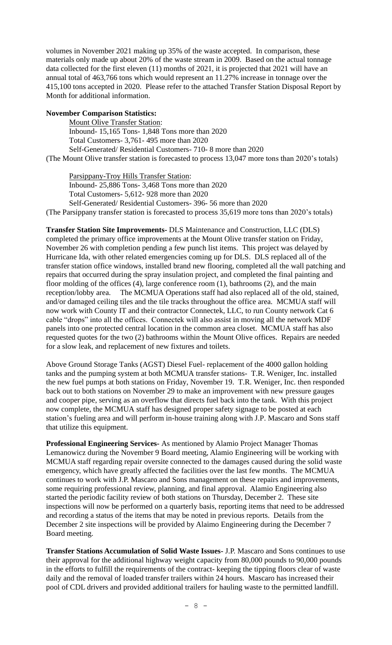volumes in November 2021 making up 35% of the waste accepted. In comparison, these materials only made up about 20% of the waste stream in 2009. Based on the actual tonnage data collected for the first eleven (11) months of 2021, it is projected that 2021 will have an annual total of 463,766 tons which would represent an 11.27% increase in tonnage over the 415,100 tons accepted in 2020. Please refer to the attached Transfer Station Disposal Report by Month for additional information.

### **November Comparison Statistics:**

Mount Olive Transfer Station: Inbound- 15,165 Tons- 1,848 Tons more than 2020 Total Customers- 3,761- 495 more than 2020 Self-Generated/ Residential Customers- 710- 8 more than 2020

(The Mount Olive transfer station is forecasted to process 13,047 more tons than 2020's totals)

Parsippany-Troy Hills Transfer Station:

Inbound- 25,886 Tons- 3,468 Tons more than 2020

Total Customers- 5,612- 928 more than 2020

Self-Generated/ Residential Customers- 396- 56 more than 2020

(The Parsippany transfer station is forecasted to process 35,619 more tons than 2020's totals)

**Transfer Station Site Improvements-** DLS Maintenance and Construction, LLC (DLS) completed the primary office improvements at the Mount Olive transfer station on Friday, November 26 with completion pending a few punch list items. This project was delayed by Hurricane Ida, with other related emergencies coming up for DLS. DLS replaced all of the transfer station office windows, installed brand new flooring, completed all the wall patching and repairs that occurred during the spray insulation project, and completed the final painting and floor molding of the offices (4), large conference room (1), bathrooms (2), and the main reception/lobby area. The MCMUA Operations staff had also replaced all of the old, stained, and/or damaged ceiling tiles and the tile tracks throughout the office area. MCMUA staff will now work with County IT and their contractor Connectek, LLC, to run County network Cat 6 cable "drops" into all the offices. Connectek will also assist in moving all the network MDF panels into one protected central location in the common area closet. MCMUA staff has also requested quotes for the two (2) bathrooms within the Mount Olive offices. Repairs are needed for a slow leak, and replacement of new fixtures and toilets.

Above Ground Storage Tanks (AGST) Diesel Fuel- replacement of the 4000 gallon holding tanks and the pumping system at both MCMUA transfer stations- T.R. Weniger, Inc. installed the new fuel pumps at both stations on Friday, November 19. T.R. Weniger, Inc. then responded back out to both stations on November 29 to make an improvement with new pressure gauges and cooper pipe, serving as an overflow that directs fuel back into the tank. With this project now complete, the MCMUA staff has designed proper safety signage to be posted at each station's fueling area and will perform in-house training along with J.P. Mascaro and Sons staff that utilize this equipment.

**Professional Engineering Services-** As mentioned by Alamio Project Manager Thomas Lemanowicz during the November 9 Board meeting, Alamio Engineering will be working with MCMUA staff regarding repair oversite connected to the damages caused during the solid waste emergency, which have greatly affected the facilities over the last few months. The MCMUA continues to work with J.P. Mascaro and Sons management on these repairs and improvements, some requiring professional review, planning, and final approval. Alamio Engineering also started the periodic facility review of both stations on Thursday, December 2. These site inspections will now be performed on a quarterly basis, reporting items that need to be addressed and recording a status of the items that may be noted in previous reports. Details from the December 2 site inspections will be provided by Alaimo Engineering during the December 7 Board meeting.

**Transfer Stations Accumulation of Solid Waste Issues-** J.P. Mascaro and Sons continues to use their approval for the additional highway weight capacity from 80,000 pounds to 90,000 pounds in the efforts to fulfill the requirements of the contract- keeping the tipping floors clear of waste daily and the removal of loaded transfer trailers within 24 hours. Mascaro has increased their pool of CDL drivers and provided additional trailers for hauling waste to the permitted landfill.

- 8 -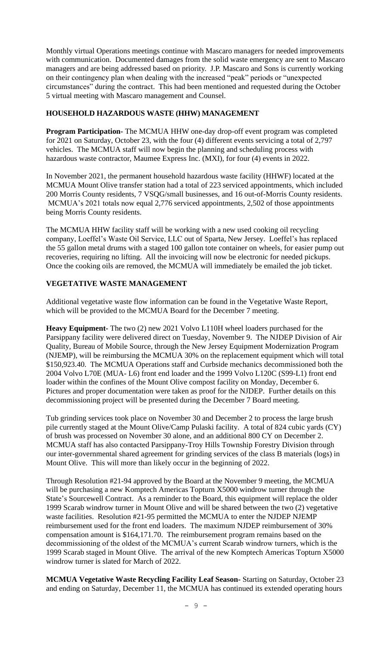Monthly virtual Operations meetings continue with Mascaro managers for needed improvements with communication. Documented damages from the solid waste emergency are sent to Mascaro managers and are being addressed based on priority. J.P. Mascaro and Sons is currently working on their contingency plan when dealing with the increased "peak" periods or "unexpected circumstances" during the contract. This had been mentioned and requested during the October 5 virtual meeting with Mascaro management and Counsel.

# **HOUSEHOLD HAZARDOUS WASTE (HHW) MANAGEMENT**

**Program Participation-** The MCMUA HHW one-day drop-off event program was completed for 2021 on Saturday, October 23, with the four (4) different events servicing a total of 2,797 vehicles. The MCMUA staff will now begin the planning and scheduling process with hazardous waste contractor, Maumee Express Inc. (MXI), for four (4) events in 2022.

In November 2021, the permanent household hazardous waste facility (HHWF) located at the MCMUA Mount Olive transfer station had a total of 223 serviced appointments, which included 200 Morris County residents, 7 VSQG/small businesses, and 16 out-of-Morris County residents. MCMUA's 2021 totals now equal 2,776 serviced appointments, 2,502 of those appointments being Morris County residents.

The MCMUA HHW facility staff will be working with a new used cooking oil recycling company, Loeffel's Waste Oil Service, LLC out of Sparta, New Jersey. Loeffel's has replaced the 55 gallon metal drums with a staged 100 gallon tote container on wheels, for easier pump out recoveries, requiring no lifting. All the invoicing will now be electronic for needed pickups. Once the cooking oils are removed, the MCMUA will immediately be emailed the job ticket.

### **VEGETATIVE WASTE MANAGEMENT**

Additional vegetative waste flow information can be found in the Vegetative Waste Report, which will be provided to the MCMUA Board for the December 7 meeting.

**Heavy Equipment-** The two (2) new 2021 Volvo L110H wheel loaders purchased for the Parsippany facility were delivered direct on Tuesday, November 9. The NJDEP Division of Air Quality, Bureau of Mobile Source, through the New Jersey Equipment Modernization Program (NJEMP), will be reimbursing the MCMUA 30% on the replacement equipment which will total \$150,923.40. The MCMUA Operations staff and Curbside mechanics decommissioned both the 2004 Volvo L70E (MUA- L6) front end loader and the 1999 Volvo L120C (S99-L1) front end loader within the confines of the Mount Olive compost facility on Monday, December 6. Pictures and proper documentation were taken as proof for the NJDEP. Further details on this decommissioning project will be presented during the December 7 Board meeting.

Tub grinding services took place on November 30 and December 2 to process the large brush pile currently staged at the Mount Olive/Camp Pulaski facility. A total of 824 cubic yards (CY) of brush was processed on November 30 alone, and an additional 800 CY on December 2. MCMUA staff has also contacted Parsippany-Troy Hills Township Forestry Division through our inter-governmental shared agreement for grinding services of the class B materials (logs) in Mount Olive. This will more than likely occur in the beginning of 2022.

Through Resolution #21-94 approved by the Board at the November 9 meeting, the MCMUA will be purchasing a new Komptech Americas Topturn X5000 windrow turner through the State's Sourcewell Contract. As a reminder to the Board, this equipment will replace the older 1999 Scarab windrow turner in Mount Olive and will be shared between the two (2) vegetative waste facilities. Resolution #21-95 permitted the MCMUA to enter the NJDEP NJEMP reimbursement used for the front end loaders. The maximum NJDEP reimbursement of 30% compensation amount is \$164,171.70. The reimbursement program remains based on the decommissioning of the oldest of the MCMUA's current Scarab windrow turners, which is the 1999 Scarab staged in Mount Olive. The arrival of the new Komptech Americas Topturn X5000 windrow turner is slated for March of 2022.

**MCMUA Vegetative Waste Recycling Facility Leaf Season-** Starting on Saturday, October 23 and ending on Saturday, December 11, the MCMUA has continued its extended operating hours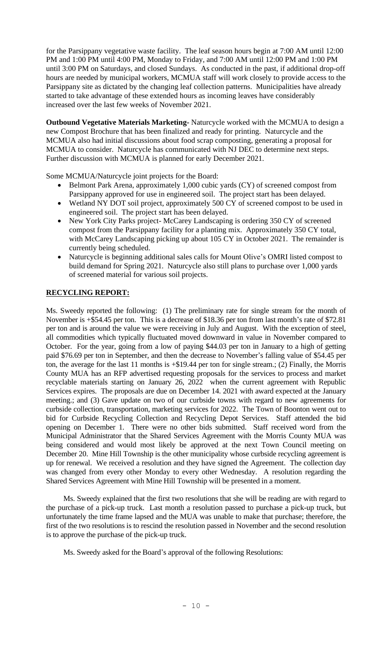for the Parsippany vegetative waste facility. The leaf season hours begin at 7:00 AM until 12:00 PM and 1:00 PM until 4:00 PM, Monday to Friday, and 7:00 AM until 12:00 PM and 1:00 PM until 3:00 PM on Saturdays, and closed Sundays. As conducted in the past, if additional drop-off hours are needed by municipal workers, MCMUA staff will work closely to provide access to the Parsippany site as dictated by the changing leaf collection patterns. Municipalities have already started to take advantage of these extended hours as incoming leaves have considerably increased over the last few weeks of November 2021.

**Outbound Vegetative Materials Marketing-** Naturcycle worked with the MCMUA to design a new Compost Brochure that has been finalized and ready for printing. Naturcycle and the MCMUA also had initial discussions about food scrap composting, generating a proposal for MCMUA to consider. Naturcycle has communicated with NJ DEC to determine next steps. Further discussion with MCMUA is planned for early December 2021.

Some MCMUA/Naturcycle joint projects for the Board:

- Belmont Park Arena, approximately 1,000 cubic yards (CY) of screened compost from Parsippany approved for use in engineered soil. The project start has been delayed.
- Wetland NY DOT soil project, approximately 500 CY of screened compost to be used in engineered soil. The project start has been delayed.
- New York City Parks project- McCarey Landscaping is ordering 350 CY of screened compost from the Parsippany facility for a planting mix. Approximately 350 CY total, with McCarey Landscaping picking up about 105 CY in October 2021. The remainder is currently being scheduled.
- Naturcycle is beginning additional sales calls for Mount Olive's OMRI listed compost to build demand for Spring 2021. Naturcycle also still plans to purchase over 1,000 yards of screened material for various soil projects.

# **RECYCLING REPORT:**

Ms. Sweedy reported the following: (1) The preliminary rate for single stream for the month of November is +\$54.45 per ton. This is a decrease of \$18.36 per ton from last month's rate of \$72.81 per ton and is around the value we were receiving in July and August. With the exception of steel, all commodities which typically fluctuated moved downward in value in November compared to October. For the year, going from a low of paying \$44.03 per ton in January to a high of getting paid \$76.69 per ton in September, and then the decrease to November's falling value of \$54.45 per ton, the average for the last 11 months is +\$19.44 per ton for single stream.; (2) Finally, the Morris County MUA has an RFP advertised requesting proposals for the services to process and market recyclable materials starting on January 26,  $2022$  when the current agreement with Republic Services expires. The proposals are due on December 14. 2021 with award expected at the January meeting.; and (3) Gave update on two of our curbside towns with regard to new agreements for curbside collection, transportation, marketing services for 2022. The Town of Boonton went out to bid for Curbside Recycling Collection and Recycling Depot Services. Staff attended the bid opening on December 1. There were no other bids submitted. Staff received word from the Municipal Administrator that the Shared Services Agreement with the Morris County MUA was being considered and would most likely be approved at the next Town Council meeting on December 20. Mine Hill Township is the other municipality whose curbside recycling agreement is up for renewal. We received a resolution and they have signed the Agreement. The collection day was changed from every other Monday to every other Wednesday. A resolution regarding the Shared Services Agreement with Mine Hill Township will be presented in a moment.

Ms. Sweedy explained that the first two resolutions that she will be reading are with regard to the purchase of a pick-up truck. Last month a resolution passed to purchase a pick-up truck, but unfortunately the time frame lapsed and the MUA was unable to make that purchase; therefore, the first of the two resolutions is to rescind the resolution passed in November and the second resolution is to approve the purchase of the pick-up truck.

Ms. Sweedy asked for the Board's approval of the following Resolutions: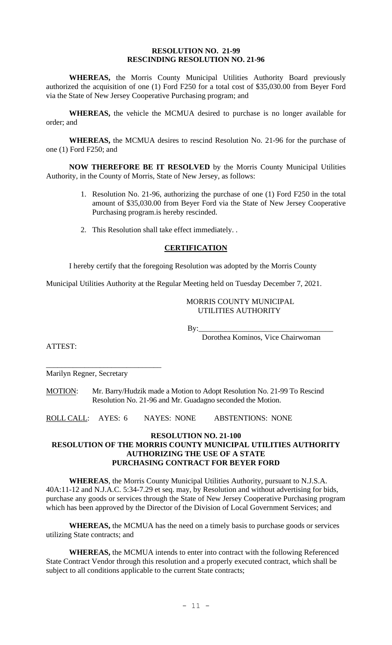#### **RESOLUTION NO. 21-99 RESCINDING RESOLUTION NO. 21-96**

**WHEREAS,** the Morris County Municipal Utilities Authority Board previously authorized the acquisition of one (1) Ford F250 for a total cost of \$35,030.00 from Beyer Ford via the State of New Jersey Cooperative Purchasing program; and

**WHEREAS,** the vehicle the MCMUA desired to purchase is no longer available for order; and

**WHEREAS,** the MCMUA desires to rescind Resolution No. 21-96 for the purchase of one (1) Ford F250; and

**NOW THEREFORE BE IT RESOLVED** by the Morris County Municipal Utilities Authority, in the County of Morris, State of New Jersey, as follows:

- 1. Resolution No. 21-96, authorizing the purchase of one (1) Ford F250 in the total amount of \$35,030.00 from Beyer Ford via the State of New Jersey Cooperative Purchasing program.is hereby rescinded.
- 2. This Resolution shall take effect immediately. .

# **CERTIFICATION**

I hereby certify that the foregoing Resolution was adopted by the Morris County

Municipal Utilities Authority at the Regular Meeting held on Tuesday December 7, 2021.

# MORRIS COUNTY MUNICIPAL UTILITIES AUTHORITY

By:\_\_\_\_\_\_\_\_\_\_\_\_\_\_\_\_\_\_\_\_\_\_\_\_\_\_\_\_\_\_\_\_\_\_\_

Dorothea Kominos, Vice Chairwoman

ATTEST:

\_\_\_\_\_\_\_\_\_\_\_\_\_\_\_\_\_\_\_\_\_\_\_\_\_\_\_\_\_\_ Marilyn Regner, Secretary

MOTION: Mr. Barry/Hudzik made a Motion to Adopt Resolution No. 21-99 To Rescind Resolution No. 21-96 and Mr. Guadagno seconded the Motion.

ROLL CALL: AYES: 6 NAYES: NONE ABSTENTIONS: NONE

### **RESOLUTION NO. 21-100**

# **RESOLUTION OF THE MORRIS COUNTY MUNICIPAL UTILITIES AUTHORITY AUTHORIZING THE USE OF A STATE PURCHASING CONTRACT FOR BEYER FORD**

**WHEREAS**, the Morris County Municipal Utilities Authority, pursuant to N.J.S.A. 40A:11-12 and N.J.A.C. 5:34-7.29 et seq. may, by Resolution and without advertising for bids, purchase any goods or services through the State of New Jersey Cooperative Purchasing program which has been approved by the Director of the Division of Local Government Services; and

**WHEREAS,** the MCMUA has the need on a timely basis to purchase goods or services utilizing State contracts; and

**WHEREAS,** the MCMUA intends to enter into contract with the following Referenced State Contract Vendor through this resolution and a properly executed contract, which shall be subject to all conditions applicable to the current State contracts;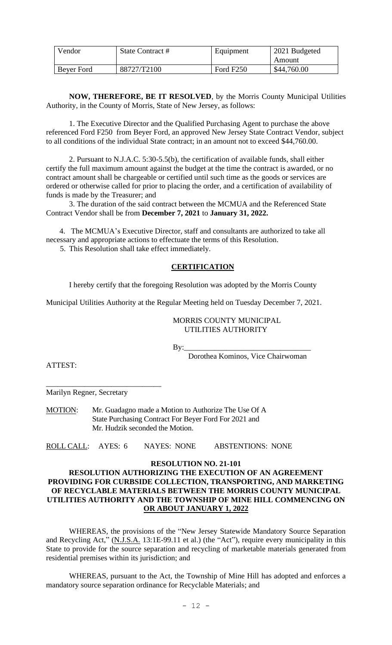| Vendor     | State Contract # | Equipment             | 2021 Budgeted |
|------------|------------------|-----------------------|---------------|
|            |                  |                       | Amount        |
| Bever Ford | 88727/T2100      | Ford F <sub>250</sub> | \$44,760.00   |

**NOW, THEREFORE, BE IT RESOLVED**, by the Morris County Municipal Utilities Authority, in the County of Morris, State of New Jersey, as follows:

1. The Executive Director and the Qualified Purchasing Agent to purchase the above referenced Ford F250 from Beyer Ford, an approved New Jersey State Contract Vendor, subject to all conditions of the individual State contract; in an amount not to exceed \$44,760.00.

2. Pursuant to N.J.A.C. 5:30-5.5(b), the certification of available funds, shall either certify the full maximum amount against the budget at the time the contract is awarded, or no contract amount shall be chargeable or certified until such time as the goods or services are ordered or otherwise called for prior to placing the order, and a certification of availability of funds is made by the Treasurer; and

3. The duration of the said contract between the MCMUA and the Referenced State Contract Vendor shall be from **December 7, 2021** to **January 31, 2022.**

 4. The MCMUA's Executive Director, staff and consultants are authorized to take all necessary and appropriate actions to effectuate the terms of this Resolution.

5. This Resolution shall take effect immediately.

#### **CERTIFICATION**

I hereby certify that the foregoing Resolution was adopted by the Morris County

Municipal Utilities Authority at the Regular Meeting held on Tuesday December 7, 2021.

#### MORRIS COUNTY MUNICIPAL UTILITIES AUTHORITY

By:\_\_\_\_\_\_\_\_\_\_\_\_\_\_\_\_\_\_\_\_\_\_\_\_\_\_\_\_\_\_\_\_\_

Dorothea Kominos, Vice Chairwoman

ATTEST:

Marilyn Regner, Secretary

\_\_\_\_\_\_\_\_\_\_\_\_\_\_\_\_\_\_\_\_\_\_\_\_\_\_\_\_\_\_

MOTION: Mr. Guadagno made a Motion to Authorize The Use Of A State Purchasing Contract For Beyer Ford For 2021 and Mr. Hudzik seconded the Motion.

ROLL CALL: AYES: 6 NAYES: NONE ABSTENTIONS: NONE

**RESOLUTION NO. 21-101**

# **RESOLUTION AUTHORIZING THE EXECUTION OF AN AGREEMENT PROVIDING FOR CURBSIDE COLLECTION, TRANSPORTING, AND MARKETING OF RECYCLABLE MATERIALS BETWEEN THE MORRIS COUNTY MUNICIPAL UTILITIES AUTHORITY AND THE TOWNSHIP OF MINE HILL COMMENCING ON OR ABOUT JANUARY 1, 2022**

WHEREAS, the provisions of the "New Jersey Statewide Mandatory Source Separation and Recycling Act," (N.J.S.A. 13:1E-99.11 et al.) (the "Act"), require every municipality in this State to provide for the source separation and recycling of marketable materials generated from residential premises within its jurisdiction; and

WHEREAS, pursuant to the Act, the Township of Mine Hill has adopted and enforces a mandatory source separation ordinance for Recyclable Materials; and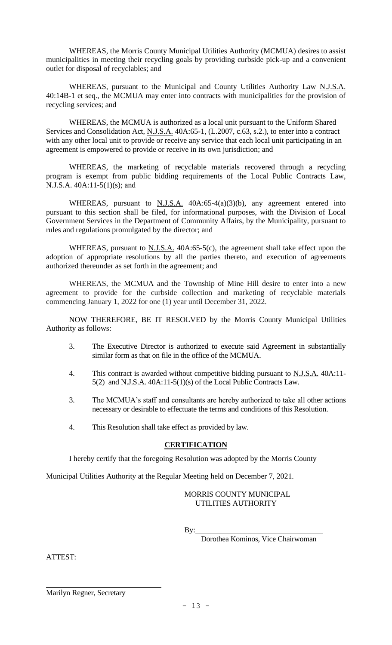WHEREAS, the Morris County Municipal Utilities Authority (MCMUA) desires to assist municipalities in meeting their recycling goals by providing curbside pick-up and a convenient outlet for disposal of recyclables; and

WHEREAS, pursuant to the Municipal and County Utilities Authority Law N.J.S.A. 40:14B-1 et seq., the MCMUA may enter into contracts with municipalities for the provision of recycling services; and

WHEREAS, the MCMUA is authorized as a local unit pursuant to the Uniform Shared Services and Consolidation Act, N.J.S.A. 40A:65-1, (L.2007, c.63, s.2.), to enter into a contract with any other local unit to provide or receive any service that each local unit participating in an agreement is empowered to provide or receive in its own jurisdiction; and

WHEREAS, the marketing of recyclable materials recovered through a recycling program is exempt from public bidding requirements of the Local Public Contracts Law, N.J.S.A. 40A:11-5(1)(s); and

WHEREAS, pursuant to  $N.J.S.A.$  40A:65-4(a)(3)(b), any agreement entered into pursuant to this section shall be filed, for informational purposes, with the Division of Local Government Services in the Department of Community Affairs, by the Municipality, pursuant to rules and regulations promulgated by the director; and

WHEREAS, pursuant to  $N.J.S.A.$  40A:65-5(c), the agreement shall take effect upon the adoption of appropriate resolutions by all the parties thereto, and execution of agreements authorized thereunder as set forth in the agreement; and

WHEREAS, the MCMUA and the Township of Mine Hill desire to enter into a new agreement to provide for the curbside collection and marketing of recyclable materials commencing January 1, 2022 for one (1) year until December 31, 2022.

NOW THEREFORE, BE IT RESOLVED by the Morris County Municipal Utilities Authority as follows:

- 3. The Executive Director is authorized to execute said Agreement in substantially similar form as that on file in the office of the MCMUA.
- 4. This contract is awarded without competitive bidding pursuant to N.J.S.A. 40A:11- 5(2) and N.J.S.A. 40A:11-5(1)(s) of the Local Public Contracts Law.
- 3. The MCMUA's staff and consultants are hereby authorized to take all other actions necessary or desirable to effectuate the terms and conditions of this Resolution.
- 4. This Resolution shall take effect as provided by law.

# **CERTIFICATION**

I hereby certify that the foregoing Resolution was adopted by the Morris County

Municipal Utilities Authority at the Regular Meeting held on December 7, 2021.

# MORRIS COUNTY MUNICIPAL UTILITIES AUTHORITY

By:

Dorothea Kominos, Vice Chairwoman

ATTEST:

Marilyn Regner, Secretary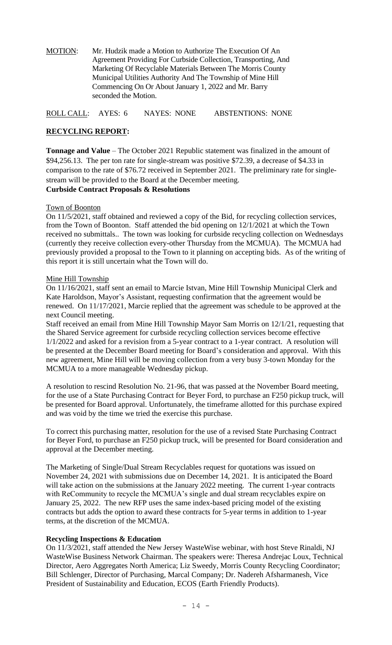MOTION: Mr. Hudzik made a Motion to Authorize The Execution Of An Agreement Providing For Curbside Collection, Transporting, And Marketing Of Recyclable Materials Between The Morris County Municipal Utilities Authority And The Township of Mine Hill Commencing On Or About January 1, 2022 and Mr. Barry seconded the Motion.

ROLL CALL: AYES: 6 NAYES: NONE ABSTENTIONS: NONE

# **RECYCLING REPORT:**

**Tonnage and Value** – The October 2021 Republic statement was finalized in the amount of \$94,256.13. The per ton rate for single-stream was positive \$72.39, a decrease of \$4.33 in comparison to the rate of \$76.72 received in September 2021. The preliminary rate for singlestream will be provided to the Board at the December meeting. **Curbside Contract Proposals & Resolutions**

# Town of Boonton

On 11/5/2021, staff obtained and reviewed a copy of the Bid, for recycling collection services, from the Town of Boonton. Staff attended the bid opening on 12/1/2021 at which the Town received no submittals.. The town was looking for curbside recycling collection on Wednesdays (currently they receive collection every-other Thursday from the MCMUA). The MCMUA had previously provided a proposal to the Town to it planning on accepting bids. As of the writing of this report it is still uncertain what the Town will do.

# Mine Hill Township

On 11/16/2021, staff sent an email to Marcie Istvan, Mine Hill Township Municipal Clerk and Kate Haroldson, Mayor's Assistant, requesting confirmation that the agreement would be renewed. On 11/17/2021, Marcie replied that the agreement was schedule to be approved at the next Council meeting.

Staff received an email from Mine Hill Township Mayor Sam Morris on 12/1/21, requesting that the Shared Service agreement for curbside recycling collection services become effective 1/1/2022 and asked for a revision from a 5-year contract to a 1-year contract. A resolution will be presented at the December Board meeting for Board's consideration and approval. With this new agreement, Mine Hill will be moving collection from a very busy 3-town Monday for the MCMUA to a more manageable Wednesday pickup.

A resolution to rescind Resolution No. 21-96, that was passed at the November Board meeting, for the use of a State Purchasing Contract for Beyer Ford, to purchase an F250 pickup truck, will be presented for Board approval. Unfortunately, the timeframe allotted for this purchase expired and was void by the time we tried the exercise this purchase.

To correct this purchasing matter, resolution for the use of a revised State Purchasing Contract for Beyer Ford, to purchase an F250 pickup truck, will be presented for Board consideration and approval at the December meeting.

The Marketing of Single/Dual Stream Recyclables request for quotations was issued on November 24, 2021 with submissions due on December 14, 2021. It is anticipated the Board will take action on the submissions at the January 2022 meeting. The current 1-year contracts with ReCommunity to recycle the MCMUA's single and dual stream recyclables expire on January 25, 2022. The new RFP uses the same index-based pricing model of the existing contracts but adds the option to award these contracts for 5-year terms in addition to 1-year terms, at the discretion of the MCMUA.

### **Recycling Inspections & Education**

On 11/3/2021, staff attended the New Jersey WasteWise webinar, with host Steve Rinaldi, NJ WasteWise Business Network Chairman. The speakers were: Theresa Andrejac Loux, Technical Director, Aero Aggregates North America; Liz Sweedy, Morris County Recycling Coordinator; Bill Schlenger, Director of Purchasing, Marcal Company; Dr. Nadereh Afsharmanesh, Vice President of Sustainability and Education, ECOS (Earth Friendly Products).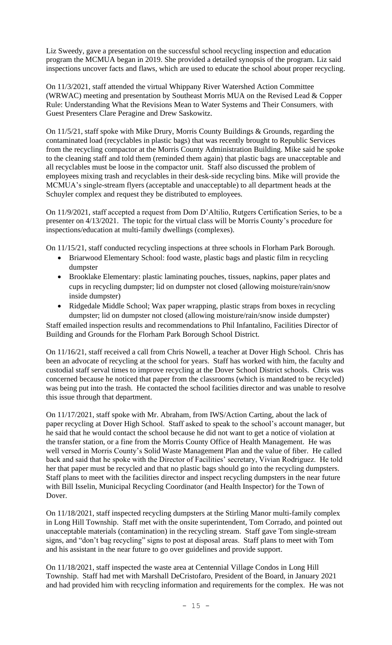Liz Sweedy, gave a presentation on the successful school recycling inspection and education program the MCMUA began in 2019. She provided a detailed synopsis of the program. Liz said inspections uncover facts and flaws, which are used to educate the school about proper recycling.

On 11/3/2021, staff attended the virtual Whippany River Watershed Action Committee (WRWAC) meeting and presentation by Southeast Morris MUA on the Revised Lead & Copper Rule: Understanding What the Revisions Mean to Water Systems and Their Consumers, with Guest Presenters Clare Peragine and Drew Saskowitz.

On 11/5/21, staff spoke with Mike Drury, Morris County Buildings & Grounds, regarding the contaminated load (recyclables in plastic bags) that was recently brought to Republic Services from the recycling compactor at the Morris County Administration Building. Mike said he spoke to the cleaning staff and told them (reminded them again) that plastic bags are unacceptable and all recyclables must be loose in the compactor unit. Staff also discussed the problem of employees mixing trash and recyclables in their desk-side recycling bins. Mike will provide the MCMUA's single-stream flyers (acceptable and unacceptable) to all department heads at the Schuyler complex and request they be distributed to employees.

On 11/9/2021, staff accepted a request from Dom D'Altilio, Rutgers Certification Series, to be a presenter on 4/13/2021. The topic for the virtual class will be Morris County's procedure for inspections/education at multi-family dwellings (complexes).

On 11/15/21, staff conducted recycling inspections at three schools in Florham Park Borough.

- Briarwood Elementary School: food waste, plastic bags and plastic film in recycling dumpster
- Brooklake Elementary: plastic laminating pouches, tissues, napkins, paper plates and cups in recycling dumpster; lid on dumpster not closed (allowing moisture/rain/snow inside dumpster)
- Ridgedale Middle School; Wax paper wrapping, plastic straps from boxes in recycling dumpster; lid on dumpster not closed (allowing moisture/rain/snow inside dumpster) Staff emailed inspection results and recommendations to Phil Infantalino, Facilities Director of

Building and Grounds for the Florham Park Borough School District.

On 11/16/21, staff received a call from Chris Nowell, a teacher at Dover High School. Chris has been an advocate of recycling at the school for years. Staff has worked with him, the faculty and custodial staff serval times to improve recycling at the Dover School District schools. Chris was concerned because he noticed that paper from the classrooms (which is mandated to be recycled) was being put into the trash. He contacted the school facilities director and was unable to resolve this issue through that department.

On 11/17/2021, staff spoke with Mr. Abraham, from IWS/Action Carting, about the lack of paper recycling at Dover High School. Staff asked to speak to the school's account manager, but he said that he would contact the school because he did not want to get a notice of violation at the transfer station, or a fine from the Morris County Office of Health Management. He was well versed in Morris County's Solid Waste Management Plan and the value of fiber. He called back and said that he spoke with the Director of Facilities' secretary, Vivian Rodriguez. He told her that paper must be recycled and that no plastic bags should go into the recycling dumpsters. Staff plans to meet with the facilities director and inspect recycling dumpsters in the near future with Bill Isselin, Municipal Recycling Coordinator (and Health Inspector) for the Town of Dover.

On 11/18/2021, staff inspected recycling dumpsters at the Stirling Manor multi-family complex in Long Hill Township. Staff met with the onsite superintendent, Tom Corrado, and pointed out unacceptable materials (contamination) in the recycling stream. Staff gave Tom single-stream signs, and "don't bag recycling" signs to post at disposal areas. Staff plans to meet with Tom and his assistant in the near future to go over guidelines and provide support.

On 11/18/2021, staff inspected the waste area at Centennial Village Condos in Long Hill Township. Staff had met with Marshall DeCristofaro, President of the Board, in January 2021 and had provided him with recycling information and requirements for the complex. He was not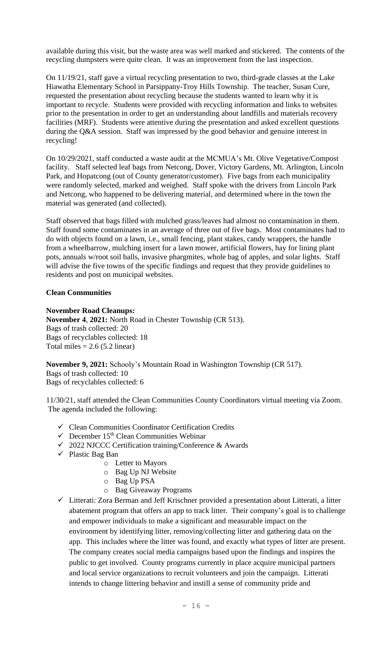available during this visit, but the waste area was well marked and stickered. The contents of the recycling dumpsters were quite clean. It was an improvement from the last inspection.

On 11/19/21, staff gave a virtual recycling presentation to two, third-grade classes at the Lake Hiawatha Elementary School in Parsippany-Troy Hills Township. The teacher, Susan Cure, requested the presentation about recycling because the students wanted to learn why it is important to recycle. Students were provided with recycling information and links to websites prior to the presentation in order to get an understanding about landfills and materials recovery facilities (MRF). Students were attentive during the presentation and asked excellent questions during the Q&A session. Staff was impressed by the good behavior and genuine interest in recycling!

On 10/29/2021, staff conducted a waste audit at the MCMUA's Mt. Olive Vegetative/Compost facility. Staff selected leaf bags from Netcong, Dover, Victory Gardens, Mt. Arlington, Lincoln Park, and Hopatcong (out of County generator/customer). Five bags from each municipality were randomly selected, marked and weighed. Staff spoke with the drivers from Lincoln Park and Netcong, who happened to be delivering material, and determined where in the town the material was generated (and collected).

Staff observed that bags filled with mulched grass/leaves had almost no contamination in them. Staff found some contaminates in an average of three out of five bags. Most contaminates had to do with objects found on a lawn, i.e., small fencing, plant stakes, candy wrappers, the handle from a wheelbarrow, mulching insert for a lawn mower, artificial flowers, hay for lining plant pots, annuals w/root soil balls, invasive phargmites, whole bag of apples, and solar lights. Staff will advise the five towns of the specific findings and request that they provide guidelines to residents and post on municipal websites.

### **Clean Communities**

### **November Road Cleanups:**

**November 4**, **2021:** North Road in Chester Township (CR 513). Bags of trash collected: 20 Bags of recyclables collected: 18 Total miles  $= 2.6$  (5.2 linear)

**November 9, 2021:** Schooly's Mountain Road in Washington Township (CR 517). Bags of trash collected: 10 Bags of recyclables collected: 6

11/30/21, staff attended the Clean Communities County Coordinators virtual meeting via Zoom. The agenda included the following:

- ✓ Clean Communities Coordinator Certification Credits
- $\checkmark$  December 15<sup>th</sup> Clean Communities Webinar
- ✓ 2022 NJCCC Certification training/Conference & Awards
- ✓ Plastic Bag Ban
	- o Letter to Mayors
	- o Bag Up NJ Website
	- o Bag Up PSA
	- o Bag Giveaway Programs
- $\checkmark$  Litterati: Zora Berman and Jeff Krischner provided a presentation about Litterati, a litter abatement program that offers an app to track litter. Their company's goal is to challenge and empower individuals to make a significant and measurable impact on the environment by identifying litter, removing/collecting litter and gathering data on the app. This includes where the litter was found, and exactly what types of litter are present. The company creates social media campaigns based upon the findings and inspires the public to get involved. County programs currently in place acquire municipal partners and local service organizations to recruit volunteers and join the campaign. Litterati intends to change littering behavior and instill a sense of community pride and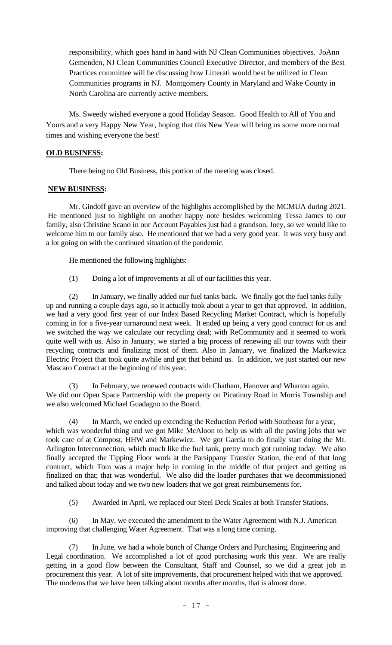responsibility, which goes hand in hand with NJ Clean Communities objectives. JoAnn Gemenden, NJ Clean Communities Council Executive Director, and members of the Best Practices committee will be discussing how Litterati would best be utilized in Clean Communities programs in NJ. Montgomery County in Maryland and Wake County in North Carolina are currently active members.

Ms. Sweedy wished everyone a good Holiday Season. Good Health to All of You and Yours and a very Happy New Year, hoping that this New Year will bring us some more normal times and wishing everyone the best!

# **OLD BUSINESS:**

There being no Old Business, this portion of the meeting was closed.

# **NEW BUSINESS:**

Mr. Gindoff gave an overview of the highlights accomplished by the MCMUA during 2021. He mentioned just to highlight on another happy note besides welcoming Tessa James to our family, also Christine Scano in our Account Payables just had a grandson, Joey, so we would like to welcome him to our family also. He mentioned that we had a very good year. It was very busy and a lot going on with the continued situation of the pandemic.

He mentioned the following highlights:

(1) Doing a lot of improvements at all of our facilities this year.

(2) In January, we finally added our fuel tanks back. We finally got the fuel tanks fully up and running a couple days ago, so it actually took about a year to get that approved. In addition, we had a very good first year of our Index Based Recycling Market Contract, which is hopefully coming in for a five-year turnaround next week. It ended up being a very good contract for us and we switched the way we calculate our recycling deal; with ReCommunity and it seemed to work quite well with us. Also in January, we started a big process of renewing all our towns with their recycling contracts and finalizing most of them. Also in January, we finalized the Markewicz Electric Project that took quite awhile and got that behind us. In addition, we just started our new Mascaro Contract at the beginning of this year.

(3) In February, we renewed contracts with Chatham, Hanover and Wharton again. We did our Open Space Partnership with the property on Picatinny Road in Morris Township and we also welcomed Michael Guadagno to the Board.

(4) In March, we ended up extending the Reduction Period with Southeast for a year, which was wonderful thing and we got Mike McAloon to help us with all the paving jobs that we took care of at Compost, HHW and Markewicz. We got Garcia to do finally start doing the Mt. Arlington Interconnection, which much like the fuel tank, pretty much got running today. We also finally accepted the Tipping Floor work at the Parsippany Transfer Station, the end of that long contract, which Tom was a major help in coming in the middle of that project and getting us finalized on that; that was wonderful. We also did the loader purchases that we decommissioned and talked about today and we two new loaders that we got great reimbursements for.

(5) Awarded in April, we replaced our Steel Deck Scales at both Transfer Stations.

(6) In May, we executed the amendment to the Water Agreement with N.J. American improving that challenging Water Agreement. That was a long time coming.

In June, we had a whole bunch of Change Orders and Purchasing, Engineering and Legal coordination. We accomplished a lot of good purchasing work this year. We are really getting in a good flow between the Consultant, Staff and Counsel, so we did a great job in procurement this year. A lot of site improvements, that procurement helped with that we approved. The modems that we have been talking about months after months, that is almost done.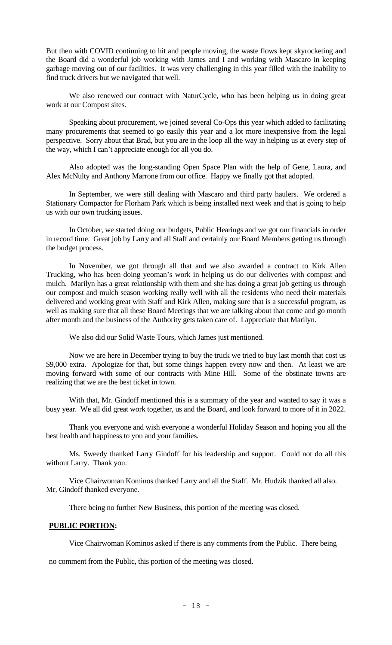But then with COVID continuing to hit and people moving, the waste flows kept skyrocketing and the Board did a wonderful job working with James and I and working with Mascaro in keeping garbage moving out of our facilities. It was very challenging in this year filled with the inability to find truck drivers but we navigated that well.

We also renewed our contract with NaturCycle, who has been helping us in doing great work at our Compost sites.

Speaking about procurement, we joined several Co-Ops this year which added to facilitating many procurements that seemed to go easily this year and a lot more inexpensive from the legal perspective. Sorry about that Brad, but you are in the loop all the way in helping us at every step of the way, which I can't appreciate enough for all you do.

Also adopted was the long-standing Open Space Plan with the help of Gene, Laura, and Alex McNulty and Anthony Marrone from our office. Happy we finally got that adopted.

In September, we were still dealing with Mascaro and third party haulers. We ordered a Stationary Compactor for Florham Park which is being installed next week and that is going to help us with our own trucking issues.

In October, we started doing our budgets, Public Hearings and we got our financials in order in record time. Great job by Larry and all Staff and certainly our Board Members getting us through the budget process.

In November, we got through all that and we also awarded a contract to Kirk Allen Trucking, who has been doing yeoman's work in helping us do our deliveries with compost and mulch. Marilyn has a great relationship with them and she has doing a great job getting us through our compost and mulch season working really well with all the residents who need their materials delivered and working great with Staff and Kirk Allen, making sure that is a successful program, as well as making sure that all these Board Meetings that we are talking about that come and go month after month and the business of the Authority gets taken care of. I appreciate that Marilyn.

We also did our Solid Waste Tours, which James just mentioned.

Now we are here in December trying to buy the truck we tried to buy last month that cost us \$9,000 extra. Apologize for that, but some things happen every now and then. At least we are moving forward with some of our contracts with Mine Hill. Some of the obstinate towns are realizing that we are the best ticket in town.

With that, Mr. Gindoff mentioned this is a summary of the year and wanted to say it was a busy year. We all did great work together, us and the Board, and look forward to more of it in 2022.

Thank you everyone and wish everyone a wonderful Holiday Season and hoping you all the best health and happiness to you and your families.

Ms. Sweedy thanked Larry Gindoff for his leadership and support. Could not do all this without Larry. Thank you.

Vice Chairwoman Kominos thanked Larry and all the Staff. Mr. Hudzik thanked all also. Mr. Gindoff thanked everyone.

There being no further New Business, this portion of the meeting was closed.

### **PUBLIC PORTION:**

Vice Chairwoman Kominos asked if there is any comments from the Public. There being

no comment from the Public, this portion of the meeting was closed.